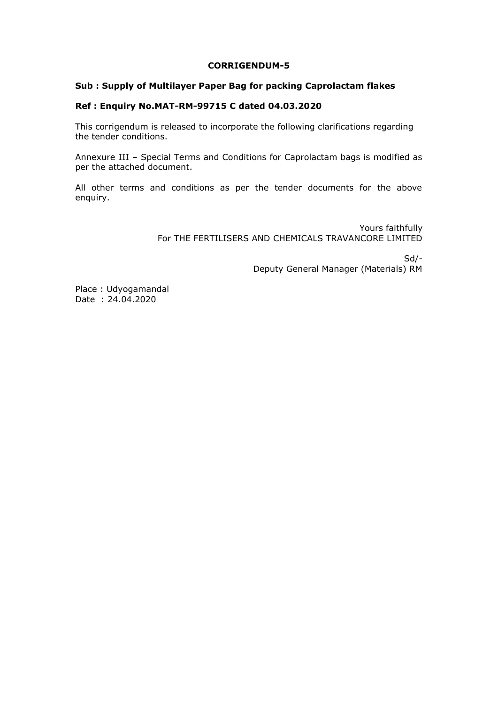#### **CORRIGENDUM-5**

#### **Sub : Supply of Multilayer Paper Bag for packing Caprolactam flakes**

## **Ref : Enquiry No.MAT-RM-99715 C dated 04.03.2020**

This corrigendum is released to incorporate the following clarifications regarding the tender conditions.

Annexure III – Special Terms and Conditions for Caprolactam bags is modified as per the attached document.

All other terms and conditions as per the tender documents for the above enquiry.

> Yours faithfully For THE FERTILISERS AND CHEMICALS TRAVANCORE LIMITED

> > Sd/- Deputy General Manager (Materials) RM

Place : Udyogamandal Date : 24.04.2020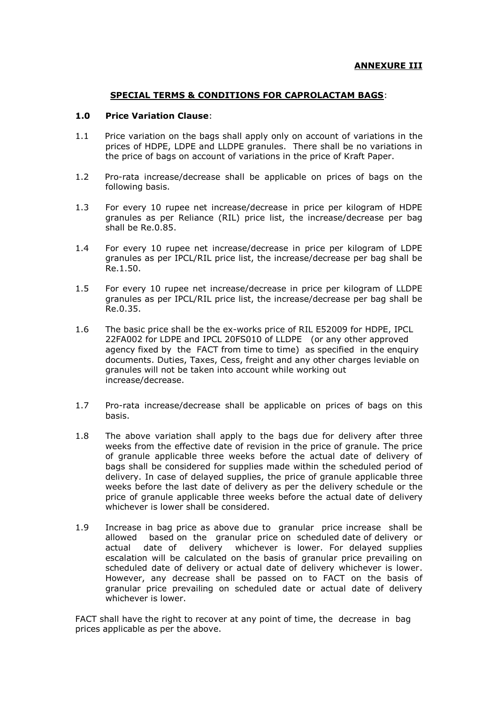### **SPECIAL TERMS & CONDITIONS FOR CAPROLACTAM BAGS**:

### **1.0 Price Variation Clause**:

- 1.1 Price variation on the bags shall apply only on account of variations in the prices of HDPE, LDPE and LLDPE granules. There shall be no variations in the price of bags on account of variations in the price of Kraft Paper.
- 1.2 Pro-rata increase/decrease shall be applicable on prices of bags on the following basis.
- 1.3 For every 10 rupee net increase/decrease in price per kilogram of HDPE granules as per Reliance (RIL) price list, the increase/decrease per bag shall be Re.0.85.
- 1.4 For every 10 rupee net increase/decrease in price per kilogram of LDPE granules as per IPCL/RIL price list, the increase/decrease per bag shall be Re.1.50.
- 1.5 For every 10 rupee net increase/decrease in price per kilogram of LLDPE granules as per IPCL/RIL price list, the increase/decrease per bag shall be Re.0.35.
- 1.6 The basic price shall be the ex-works price of RIL E52009 for HDPE, IPCL 22FA002 for LDPE and IPCL 20FS010 of LLDPE (or any other approved agency fixed by the FACT from time to time) as specified in the enquiry documents. Duties, Taxes, Cess, freight and any other charges leviable on granules will not be taken into account while working out increase/decrease.
- 1.7 Pro-rata increase/decrease shall be applicable on prices of bags on this basis.
- 1.8 The above variation shall apply to the bags due for delivery after three weeks from the effective date of revision in the price of granule. The price of granule applicable three weeks before the actual date of delivery of bags shall be considered for supplies made within the scheduled period of delivery. In case of delayed supplies, the price of granule applicable three weeks before the last date of delivery as per the delivery schedule or the price of granule applicable three weeks before the actual date of delivery whichever is lower shall be considered.
- 1.9 Increase in bag price as above due to granular price increase shall be allowed based on the granular price on scheduled date of delivery or actual date of delivery whichever is lower. For delayed supplies escalation will be calculated on the basis of granular price prevailing on scheduled date of delivery or actual date of delivery whichever is lower. However, any decrease shall be passed on to FACT on the basis of granular price prevailing on scheduled date or actual date of delivery whichever is lower.

FACT shall have the right to recover at any point of time, the decrease in bag prices applicable as per the above.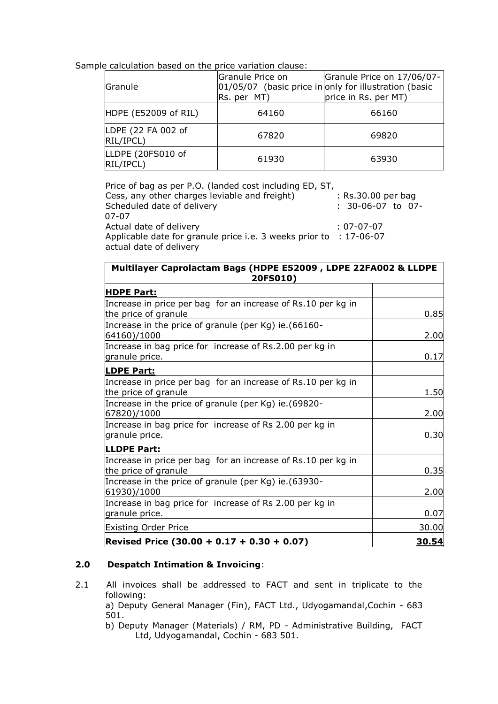Sample calculation based on the price variation clause:

| Granule                         | Granule Price on<br>Rs. per MT) | Granule Price on 17/06/07-<br>$ 01/05/07 $ (basic price in only for illustration (basic<br>price in Rs. per MT) |
|---------------------------------|---------------------------------|-----------------------------------------------------------------------------------------------------------------|
| HDPE (E52009 of RIL)            | 64160                           | 66160                                                                                                           |
| LDPE (22 FA 002 of<br>RIL/IPCL) | 67820                           | 69820                                                                                                           |
| LLDPE (20FS010 of<br>RIL/IPCL)  | 61930                           | 63930                                                                                                           |

| Price of bag as per P.O. (landed cost including ED, ST,                                       |                     |
|-----------------------------------------------------------------------------------------------|---------------------|
| Cess, any other charges leviable and freight)                                                 | : Rs.30.00 per bag  |
| Scheduled date of delivery                                                                    | $: 30-06-07$ to 07- |
| 07-07                                                                                         |                     |
| Actual date of delivery                                                                       | : 07-07-07          |
| Applicable date for granule price i.e. 3 weeks prior to : 17-06-07<br>actual date of delivery |                     |

| Multilayer Caprolactam Bags (HDPE E52009, LDPE 22FA002 & LLDPE<br>20FS010)           |       |  |
|--------------------------------------------------------------------------------------|-------|--|
| <b>HDPE Part:</b>                                                                    |       |  |
| Increase in price per bag for an increase of Rs.10 per kg in<br>the price of granule | 0.85  |  |
| Increase in the price of granule (per Kg) ie. (66160-<br>64160)/1000                 | 2.00  |  |
| Increase in bag price for increase of Rs.2.00 per kg in<br>granule price.            | 0.17  |  |
| <b>LDPE Part:</b>                                                                    |       |  |
| Increase in price per bag for an increase of Rs.10 per kg in<br>the price of granule | 1.50  |  |
| Increase in the price of granule (per Kg) ie. (69820-<br>67820)/1000                 | 2.00  |  |
| Increase in bag price for increase of Rs 2.00 per kg in<br>granule price.            | 0.30  |  |
| <b>LLDPE Part:</b>                                                                   |       |  |
| Increase in price per bag for an increase of Rs.10 per kg in<br>the price of granule | 0.35  |  |
| Increase in the price of granule (per Kg) ie. (63930-<br>61930)/1000                 | 2.00  |  |
| Increase in bag price for increase of Rs 2.00 per kg in<br>granule price.            | 0.07  |  |
| <b>Existing Order Price</b>                                                          | 30.00 |  |
| Revised Price $(30.00 + 0.17 + 0.30 + 0.07)$                                         | 30.54 |  |

# **2.0 Despatch Intimation & Invoicing**:

2.1 All invoices shall be addressed to FACT and sent in triplicate to the following:

a) Deputy General Manager (Fin), FACT Ltd., Udyogamandal,Cochin - 683 501.

b) Deputy Manager (Materials) / RM, PD - Administrative Building, FACT Ltd, Udyogamandal, Cochin - 683 501.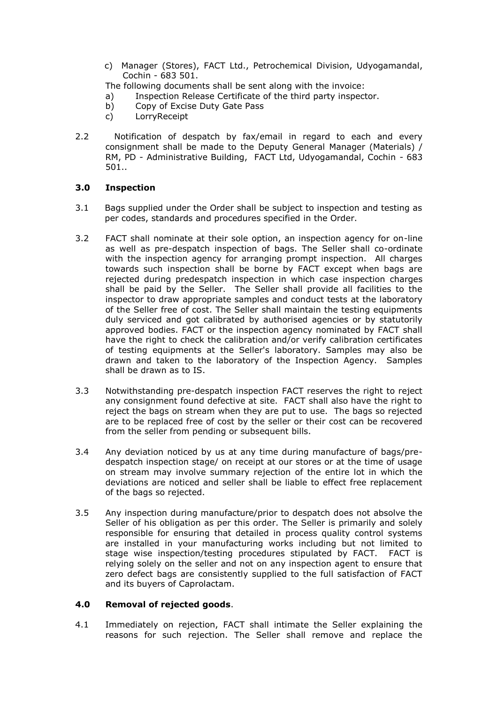- c) Manager (Stores), FACT Ltd., Petrochemical Division, Udyogamandal, Cochin - 683 501.
- The following documents shall be sent along with the invoice:
- a) Inspection Release Certificate of the third party inspector.
- b) Copy of Excise Duty Gate Pass
- c) LorryReceipt
- 2.2 Notification of despatch by fax/email in regard to each and every consignment shall be made to the Deputy General Manager (Materials) / RM, PD - Administrative Building, FACT Ltd, Udyogamandal, Cochin - 683 501..

## **3.0 Inspection**

- 3.1 Bags supplied under the Order shall be subject to inspection and testing as per codes, standards and procedures specified in the Order.
- 3.2 FACT shall nominate at their sole option, an inspection agency for on-line as well as pre-despatch inspection of bags. The Seller shall co-ordinate with the inspection agency for arranging prompt inspection. All charges towards such inspection shall be borne by FACT except when bags are rejected during predespatch inspection in which case inspection charges shall be paid by the Seller. The Seller shall provide all facilities to the inspector to draw appropriate samples and conduct tests at the laboratory of the Seller free of cost. The Seller shall maintain the testing equipments duly serviced and got calibrated by authorised agencies or by statutorily approved bodies. FACT or the inspection agency nominated by FACT shall have the right to check the calibration and/or verify calibration certificates of testing equipments at the Seller's laboratory. Samples may also be drawn and taken to the laboratory of the Inspection Agency. Samples shall be drawn as to IS.
- 3.3 Notwithstanding pre-despatch inspection FACT reserves the right to reject any consignment found defective at site. FACT shall also have the right to reject the bags on stream when they are put to use. The bags so rejected are to be replaced free of cost by the seller or their cost can be recovered from the seller from pending or subsequent bills.
- 3.4 Any deviation noticed by us at any time during manufacture of bags/predespatch inspection stage/ on receipt at our stores or at the time of usage on stream may involve summary rejection of the entire lot in which the deviations are noticed and seller shall be liable to effect free replacement of the bags so rejected.
- 3.5 Any inspection during manufacture/prior to despatch does not absolve the Seller of his obligation as per this order. The Seller is primarily and solely responsible for ensuring that detailed in process quality control systems are installed in your manufacturing works including but not limited to stage wise inspection/testing procedures stipulated by FACT. FACT is relying solely on the seller and not on any inspection agent to ensure that zero defect bags are consistently supplied to the full satisfaction of FACT and its buyers of Caprolactam.

# **4.0 Removal of rejected goods**.

4.1 Immediately on rejection, FACT shall intimate the Seller explaining the reasons for such rejection. The Seller shall remove and replace the